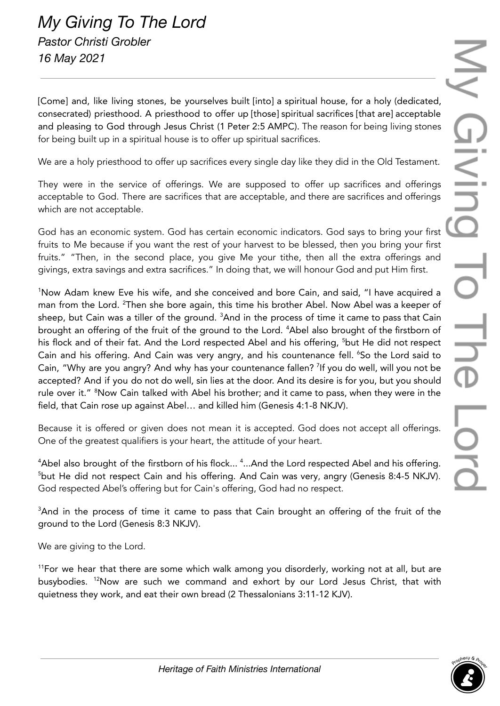[Come] and, like living stones, be yourselves built [into] a spiritual house, for a holy (dedicated, consecrated) priesthood. A priesthood to offer up [those] spiritual sacrifices [that are] acceptable and pleasing to God through Jesus Christ (1 Peter 2:5 AMPC). The reason for being living stones for being built up in a spiritual house is to offer up spiritual sacrifices.

We are a holy priesthood to offer up sacrifices every single day like they did in the Old Testament.

They were in the service of offerings. We are supposed to offer up sacrifices and offerings acceptable to God. There are sacrifices that are acceptable, and there are sacrifices and offerings which are not acceptable.

God has an economic system. God has certain economic indicators. God says to bring your first fruits to Me because if you want the rest of your harvest to be blessed, then you bring your first fruits." "Then, in the second place, you give Me your tithe, then all the extra offerings and givings, extra savings and extra sacrifices." In doing that, we will honour God and put Him first.

<sup>1</sup>Now Adam knew Eve his wife, and she conceived and bore Cain, and said, "I have acquired a man from the Lord. <sup>2</sup>Then she bore again, this time his brother Abel. Now Abel was a keeper of sheep, but Cain was a tiller of the ground.  ${}^{3}\textsf{And}$  in the process of time it came to pass that Cain brought an offering of the fruit of the ground to the Lord. <sup>4</sup>Abel also brought of the firstborn of his flock and of their fat. And the Lord respected Abel and his offering, <sup>5</sup>but He did not respect Cain and his offering. And Cain was very angry, and his countenance fell. <sup>6</sup>So the Lord said to Cain, "Why are you angry? And why has your countenance fallen? <sup>7</sup>If you do well, will you not be accepted? And if you do not do well, sin lies at the door. And its desire is for you, but you should rule over it." <sup>8</sup>Now Cain talked with Abel his brother; and it came to pass, when they were in the field, that Cain rose up against Abel… and killed him (Genesis 4:1-8 NKJV).

Because it is offered or given does not mean it is accepted. God does not accept all offerings. One of the greatest qualifiers is your heart, the attitude of your heart.

 $4$ Abel also brought of the firstborn of his flock...  $4$ ...And the Lord respected Abel and his offering. <sup>5</sup>but He did not respect Cain and his offering. And Cain was very, angry (Genesis 8:4-5 NKJV). God respected Abel's offering but for Cain's offering, God had no respect.

<sup>3</sup>And in the process of time it came to pass that Cain brought an offering of the fruit of the ground to the Lord (Genesis 8:3 NKJV).

We are giving to the Lord.

 $11$ For we hear that there are some which walk among you disorderly, working not at all, but are busybodies. <sup>12</sup>Now are such we command and exhort by our Lord Jesus Christ, that with quietness they work, and eat their own bread (2 Thessalonians 3:11-12 KJV).

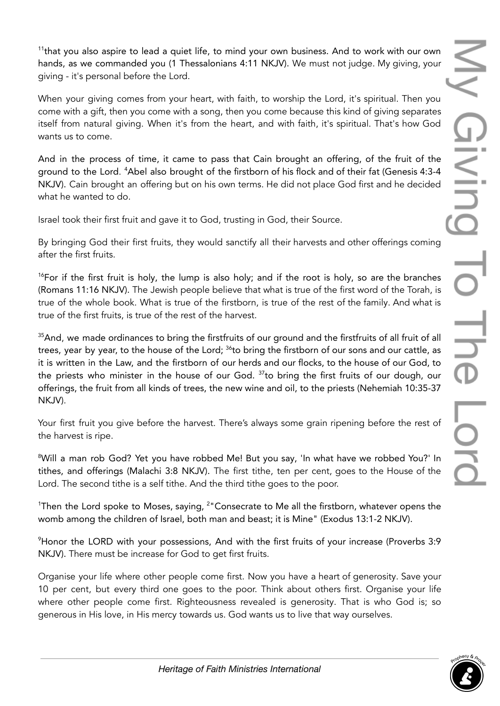<sup>11</sup>that you also aspire to lead a quiet life, to mind your own business. And to work with our own hands, as we commanded you (1 Thessalonians 4:11 NKJV). We must not judge. My giving, your giving - it's personal before the Lord.

When your giving comes from your heart, with faith, to worship the Lord, it's spiritual. Then you come with a gift, then you come with a song, then you come because this kind of giving separates itself from natural giving. When it's from the heart, and with faith, it's spiritual. That's how God wants us to come.

And in the process of time, it came to pass that Cain brought an offering, of the fruit of the ground to the Lord. <sup>4</sup>Abel also brought of the firstborn of his flock and of their fat (Genesis 4:3-4 NKJV). Cain brought an offering but on his own terms. He did not place God first and he decided what he wanted to do.

Israel took their first fruit and gave it to God, trusting in God, their Source.

By bringing God their first fruits, they would sanctify all their harvests and other offerings coming after the first fruits.

<sup>16</sup>For if the first fruit is holy, the lump is also holy; and if the root is holy, so are the branches (Romans 11:16 NKJV). The Jewish people believe that what is true of the first word of the Torah, is true of the whole book. What is true of the firstborn, is true of the rest of the family. And what is true of the first fruits, is true of the rest of the harvest.

<sup>35</sup>And, we made ordinances to bring the firstfruits of our ground and the firstfruits of all fruit of all trees, year by year, to the house of the Lord;  $^{36}$ to bring the firstborn of our sons and our cattle, as it is written in the Law, and the firstborn of our herds and our flocks, to the house of our God, to the priests who minister in the house of our God. <sup>37</sup>to bring the first fruits of our dough, our offerings, the fruit from all kinds of trees, the new wine and oil, to the priests (Nehemiah 10:35-37 NKJV).

Your first fruit you give before the harvest. There's always some grain ripening before the rest of the harvest is ripe.

<sup>8</sup>Will a man rob God? Yet you have robbed Me! But you say, 'In what have we robbed You?' In tithes, and offerings (Malachi 3:8 NKJV). The first tithe, ten per cent, goes to the House of the Lord. The second tithe is a self tithe. And the third tithe goes to the poor.

<sup>1</sup>Then the Lord spoke to Moses, saying,  $2^{\circ}$  Consecrate to Me all the firstborn, whatever opens the womb among the children of Israel, both man and beast; it is Mine" (Exodus 13:1-2 NKJV).

<sup>9</sup>Honor the LORD with your possessions, And with the first fruits of your increase (Proverbs 3:9 NKJV). There must be increase for God to get first fruits.

Organise your life where other people come first. Now you have a heart of generosity. Save your 10 per cent, but every third one goes to the poor. Think about others first. Organise your life where other people come first. Righteousness revealed is generosity. That is who God is: so generous in His love, in His mercy towards us. God wants us to live that way ourselves.

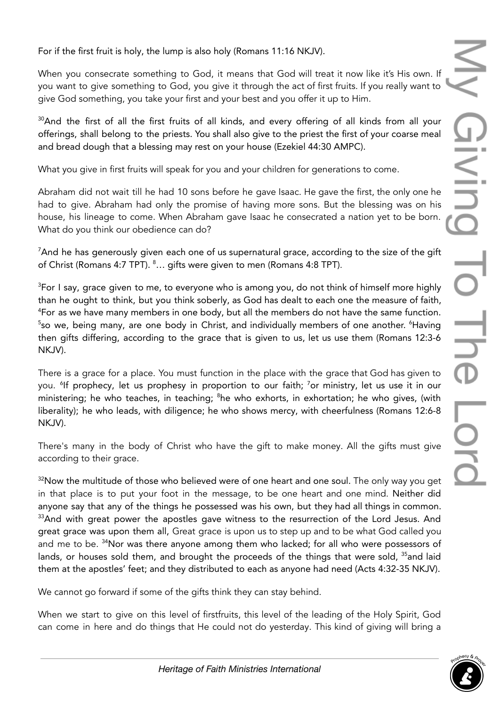For if the first fruit is holy, the lump is also holy (Romans 11:16 NKJV).

When you consecrate something to God, it means that God will treat it now like it's His own. If you want to give something to God, you give it through the act of first fruits. If you really want to give God something, you take your first and your best and you offer it up to Him.

<sup>30</sup>And the first of all the first fruits of all kinds, and every offering of all kinds from all your offerings, shall belong to the priests. You shall also give to the priest the first of your coarse meal and bread dough that a blessing may rest on your house (Ezekiel 44:30 AMPC).

What you give in first fruits will speak for you and your children for generations to come.

Abraham did not wait till he had 10 sons before he gave Isaac. He gave the first, the only one he had to give. Abraham had only the promise of having more sons. But the blessing was on his house, his lineage to come. When Abraham gave Isaac he consecrated a nation yet to be born. What do you think our obedience can do?

<sup>7</sup>And he has generously given each one of us supernatural grace, according to the size of the gift of Christ (Romans 4:7 TPT). <sup>8</sup>... gifts were given to men (Romans 4:8 TPT).

<sup>3</sup>For I say, grace given to me, to everyone who is among you, do not think of himself more highly than he ought to think, but you think soberly, as God has dealt to each one the measure of faith, <sup>4</sup>For as we have many members in one body, but all the members do not have the same function. <sup>5</sup>so we, being many, are one body in Christ, and individually members of one another. <sup>6</sup>Having then gifts differing, according to the grace that is given to us, let us use them (Romans 12:3-6 NKJV).

There is a grace for a place. You must function in the place with the grace that God has given to you. 6 If prophecy, let us prophesy in proportion to our faith; <sup>7</sup>or ministry, let us use it in our ministering; he who teaches, in teaching; <sup>8</sup>he who exhorts, in exhortation; he who gives, (with liberality); he who leads, with diligence; he who shows mercy, with cheerfulness (Romans 12:6-8 NKJV).

There's many in the body of Christ who have the gift to make money. All the gifts must give according to their grace.

 $32$ Now the multitude of those who believed were of one heart and one soul. The only way you get in that place is to put your foot in the message, to be one heart and one mind. Neither did anyone say that any of the things he possessed was his own, but they had all things in common.  $33$ And with great power the apostles gave witness to the resurrection of the Lord Jesus. And great grace was upon them all, Great grace is upon us to step up and to be what God called you and me to be. <sup>34</sup>Nor was there anyone among them who lacked; for all who were possessors of lands, or houses sold them, and brought the proceeds of the things that were sold, <sup>35</sup>and laid them at the apostles' feet; and they distributed to each as anyone had need (Acts 4:32-35 NKJV).

We cannot go forward if some of the gifts think they can stay behind.

When we start to give on this level of firstfruits, this level of the leading of the Holy Spirit, God can come in here and do things that He could not do yesterday. This kind of giving will bring a

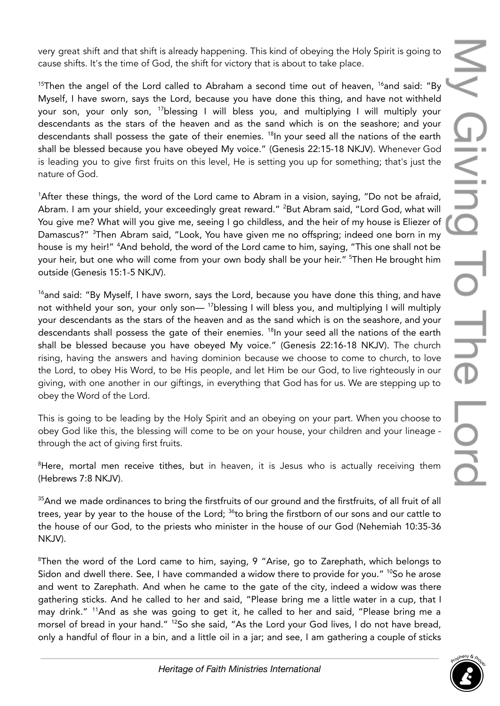very great shift and that shift is already happening. This kind of obeying the Holy Spirit is going to cause shifts. It's the time of God, the shift for victory that is about to take place.

<sup>15</sup>Then the angel of the Lord called to Abraham a second time out of heaven, <sup>16</sup>and said: "By Myself, I have sworn, says the Lord, because you have done this thing, and have not withheld your son, your only son, <sup>17</sup>blessing I will bless you, and multiplying I will multiply your descendants as the stars of the heaven and as the sand which is on the seashore; and your descendants shall possess the gate of their enemies. 18 In your seed all the nations of the earth shall be blessed because you have obeyed My voice." (Genesis 22:15-18 NKJV). Whenever God is leading you to give first fruits on this level, He is setting you up for something; that's just the nature of God.

<sup>1</sup>After these things, the word of the Lord came to Abram in a vision, saying, "Do not be afraid, Abram. I am your shield, your exceedingly great reward." <sup>2</sup>But Abram said, "Lord God, what will You give me? What will you give me, seeing I go childless, and the heir of my house is Eliezer of Damascus?" <sup>3</sup>Then Abram said, "Look, You have given me no offspring; indeed one born in my house is my heir!" <sup>4</sup>And behold, the word of the Lord came to him, saying, "This one shall not be your heir, but one who will come from your own body shall be your heir." <sup>5</sup>Then He brought him outside (Genesis 15:1-5 NKJV).

 $16$ and said: "By Myself, I have sworn, says the Lord, because you have done this thing, and have not withheld your son, your only son— <sup>17</sup>blessing I will bless you, and multiplying I will multiply your descendants as the stars of the heaven and as the sand which is on the seashore, and your descendants shall possess the gate of their enemies. 18 In your seed all the nations of the earth shall be blessed because you have obeyed My voice." (Genesis 22:16-18 NKJV). The church rising, having the answers and having dominion because we choose to come to church, to love the Lord, to obey His Word, to be His people, and let Him be our God, to live righteously in our giving, with one another in our giftings, in everything that God has for us. We are stepping up to obey the Word of the Lord.

This is going to be leading by the Holy Spirit and an obeying on your part. When you choose to obey God like this, the blessing will come to be on your house, your children and your lineage through the act of giving first fruits.

 ${}^{8}$ Here, mortal men receive tithes, but in heaven, it is Jesus who is actually receiving them (Hebrews 7:8 NKJV).

<sup>35</sup>And we made ordinances to bring the firstfruits of our ground and the firstfruits, of all fruit of all trees, year by year to the house of the Lord; <sup>36</sup>to bring the firstborn of our sons and our cattle to the house of our God, to the priests who minister in the house of our God (Nehemiah 10:35-36 NKJV).

<sup>8</sup>Then the word of the Lord came to him, saying, 9 "Arise, go to Zarephath, which belongs to Sidon and dwell there. See, I have commanded a widow there to provide for you." <sup>10</sup>So he arose and went to Zarephath. And when he came to the gate of the city, indeed a widow was there gathering sticks. And he called to her and said, "Please bring me a little water in a cup, that I may drink." <sup>11</sup>And as she was going to get it, he called to her and said, "Please bring me a morsel of bread in your hand." <sup>12</sup>So she said, "As the Lord your God lives, I do not have bread, only a handful of flour in a bin, and a little oil in a jar; and see, I am gathering a couple of sticks

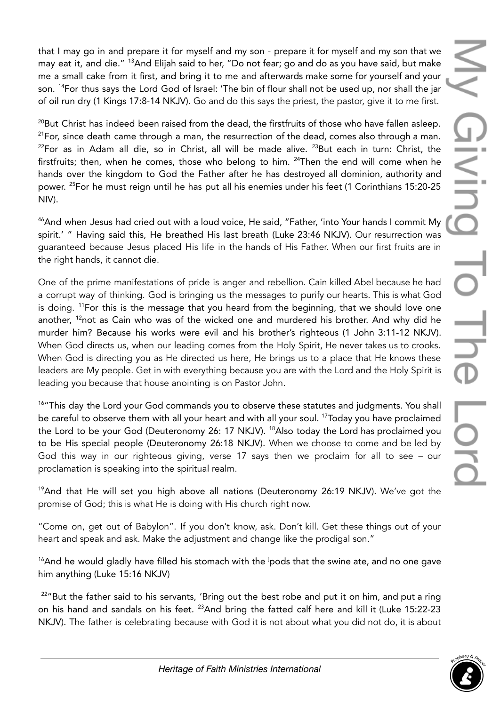that I may go in and prepare it for myself and my son - prepare it for myself and my son that we may eat it, and die." <sup>13</sup>And Elijah said to her, "Do not fear; go and do as you have said, but make me a small cake from it first, and bring it to me and afterwards make some for yourself and your son. <sup>14</sup>For thus says the Lord God of Israel: 'The bin of flour shall not be used up, nor shall the jar of oil run dry (1 Kings 17:8-14 NKJV). Go and do this says the priest, the pastor, give it to me first.

<sup>20</sup>But Christ has indeed been raised from the dead, the firstfruits of those who have fallen asleep.  $21$ For, since death came through a man, the resurrection of the dead, comes also through a man.  $^{22}$ For as in Adam all die, so in Christ, all will be made alive.  $^{23}$ But each in turn: Christ, the firstfruits; then, when he comes, those who belong to him. <sup>24</sup>Then the end will come when he hands over the kingdom to God the Father after he has destroyed all dominion, authority and power. <sup>25</sup>For he must reign until he has put all his enemies under his feet (1 Corinthians 15:20-25 NIV).

<sup>46</sup>And when Jesus had cried out with a loud voice, He said, "Father, 'into Your hands I commit My spirit.' " Having said this, He breathed His last breath (Luke 23:46 NKJV). Our resurrection was guaranteed because Jesus placed His life in the hands of His Father. When our first fruits are in the right hands, it cannot die.

One of the prime manifestations of pride is anger and rebellion. Cain killed Abel because he had a corrupt way of thinking. God is bringing us the messages to purify our hearts. This is what God is doing. <sup>11</sup>For this is the message that you heard from the beginning, that we should love one another, <sup>12</sup>not as Cain who was of the wicked one and murdered his brother. And why did he murder him? Because his works were evil and his brother's righteous (1 John 3:11-12 NKJV). When God directs us, when our leading comes from the Holy Spirit, He never takes us to crooks. When God is directing you as He directed us here, He brings us to a place that He knows these leaders are My people. Get in with everything because you are with the Lord and the Holy Spirit is leading you because that house anointing is on Pastor John.

<sup>16</sup>"This day the Lord your God commands you to observe these statutes and judgments. You shall be careful to observe them with all your heart and with all your soul. <sup>17</sup>Today you have proclaimed the Lord to be your God (Deuteronomy 26: 17 NKJV). <sup>18</sup>Also today the Lord has proclaimed you to be His special people (Deuteronomy 26:18 NKJV). When we choose to come and be led by God this way in our righteous giving, verse 17 says then we proclaim for all to see – our proclamation is speaking into the spiritual realm.

<sup>19</sup>And that He will set you high above all nations (Deuteronomy 26:19 NKJV). We've got the promise of God; this is what He is doing with His church right now.

"Come on, get out of Babylon". If you don't know, ask. Don't kill. Get these things out of your heart and speak and ask. Make the adjustment and change like the prodigal son."

 $16$ And he would gladly have filled his stomach with the  $\mathfrak l$ pods that the swine ate, and no one gave him anything (Luke 15:16 NKJV)

 $22^{\prime\prime}$ But the father said to his servants, 'Bring out the best robe and put it on him, and put a ring on his hand and sandals on his feet. <sup>23</sup>And bring the fatted calf here and kill it (Luke 15:22-23 NKJV). The father is celebrating because with God it is not about what you did not do, it is about